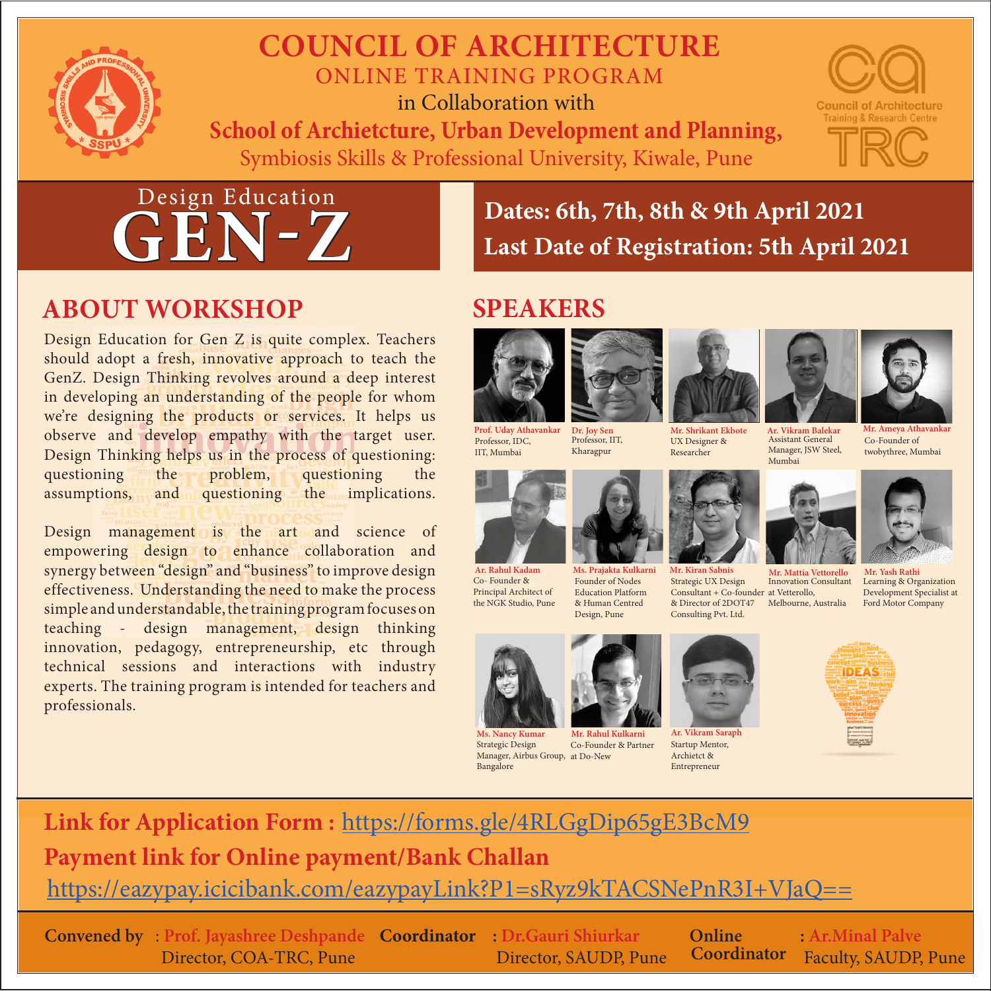

### **COUNCIL OF ARCHITECTURE**  ONLINE TRAINING PROGRAM in Collaboration with

**School of Archietcture, Urban Development and Planning,** Symbiosis Skills & Professional University, Kiwale, Pune





# **ABOUT WORKSHOP SPEAKERS**

Design Education for Gen Z is quite complex. Teachers should adopt a fresh, innovative approach to teach the GenZ. Design Thinking revolves around a deep interest in developing an understanding of the people for whom we're designing the products or services. It helps us observe and develop empathy with the target user. Design Thinking helps us in the process of questioning: questioning the problem, questioning the assumptions, and questioning the implications.

Design management is the art and science of empowering design to enhance collaboration and synergy between "design" and "business" to improve design effectiveness. Understanding the need to make the process simple and understandable, the training program focuses on teaching - design management, design thinking innovation, pedagogy, entrepreneurship, etc through technical sessions and interactions with industry experts. The training program is intended for teachers and professionals.

**Dates: 6th, 7th, 8th & 9th April 2021 Last Date of Registration: 5th April 2021**



Professor, IDC, IIT, Mumbai





UX Designer & Researcher









Ar. Vikram Burch Manager, JSW Steel, Mumbai

**Mr. Ameya Athavankar** Co-Founder of

twobythree, Mumbai





**Mr. Mattia Vettorello** Consultant + Co-founder at Vetterollo, & Director of 2DOT47 Melbourne, Australia Innovation Consultant

**Mr. Yash Rath** Learning & Organization Development Specialist at Ford Motor Company

Co- Founder & Principal Architect of the NGK Studio, Pune

**Ms. Nancy Kumar Mr. Rahul Kulkarni Ar. Vikram Saraph** Strategic Design Manager, Airbus Group, at Do-New Bangalore

**Ar. Rahul Kadam Ms. Prajakta Kulkarni Mr. Kiran Sabnis**

Founder of Nodes Education Platform & Human Centred Design, Pune

Co-Founder & Partner



Strategic UX Design

Consulting Pvt. Ltd.

Startup Mentor, Archietct & Entrepreneur



**Link for Application Form :** <https://forms.gle/4RLGgDip65gE3BcM9> **Payment link for Online payment/Bank Challan**  <https://eazypay.icicibank.com/eazypayLink?P1=sRyz9kTACSNePnR3I+VJaQ==>

**Convened by** : **Prof. Jayashree Deshpande Coordinator : Dr.Gauri Shiurkar** Director, COA-TRC, Pune

Director, SAUDP, Pune

**Coordinator** 

**Online : Ar.Minal Palve Coordinator** Faculty, SAUDP, Pune